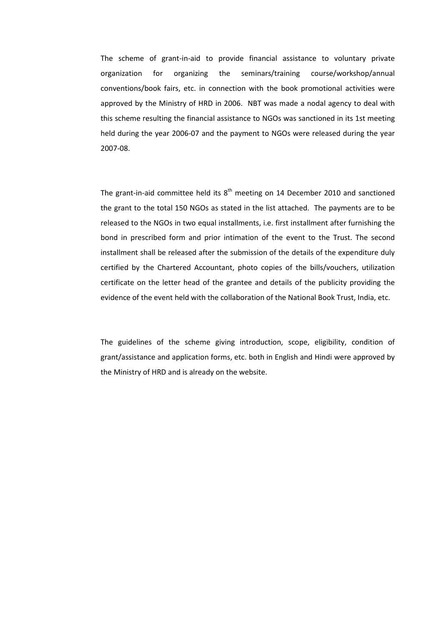The scheme of grant-in-aid to provide financial assistance to voluntary private organization for organizing the seminars/training course/workshop/annual conventions/book fairs, etc. in connection with the book promotional activities were approved by the Ministry of HRD in 2006. NBT was made a nodal agency to deal with this scheme resulting the financial assistance to NGOs was sanctioned in its 1st meeting held during the year 2006-07 and the payment to NGOs were released during the year 2007-08.

The grant-in-aid committee held its  $8<sup>th</sup>$  meeting on 14 December 2010 and sanctioned the grant to the total 150 NGOs as stated in the list attached. The payments are to be released to the NGOs in two equal installments, i.e. first installment after furnishing the bond in prescribed form and prior intimation of the event to the Trust. The second installment shall be released after the submission of the details of the expenditure duly certified by the Chartered Accountant, photo copies of the bills/vouchers, utilization certificate on the letter head of the grantee and details of the publicity providing the evidence of the event held with the collaboration of the National Book Trust, India, etc.

The guidelines of the scheme giving introduction, scope, eligibility, condition of grant/assistance and application forms, etc. both in English and Hindi were approved by the Ministry of HRD and is already on the website.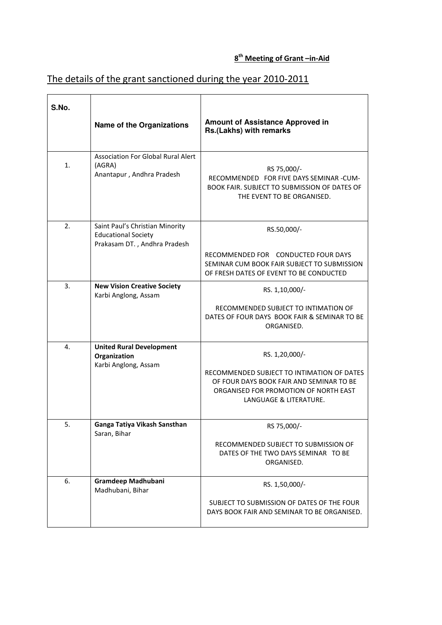## 8<sup>th</sup> Meeting of Grant –in-Aid

## The details of the grant sanctioned during the year 2010-2011

| S.No. |                                                                                               | <b>Amount of Assistance Approved in</b>                                                                                                                                     |
|-------|-----------------------------------------------------------------------------------------------|-----------------------------------------------------------------------------------------------------------------------------------------------------------------------------|
|       | <b>Name of the Organizations</b>                                                              | Rs.(Lakhs) with remarks                                                                                                                                                     |
| 1.    | <b>Association For Global Rural Alert</b><br>(AGRA)<br>Anantapur, Andhra Pradesh              | RS 75,000/-<br>RECOMMENDED FOR FIVE DAYS SEMINAR -CUM-<br>BOOK FAIR. SUBJECT TO SUBMISSION OF DATES OF<br>THE EVENT TO BE ORGANISED.                                        |
| 2.    | Saint Paul's Christian Minority<br><b>Educational Society</b><br>Prakasam DT., Andhra Pradesh | RS.50,000/-<br>RECOMMENDED FOR CONDUCTED FOUR DAYS<br>SEMINAR CUM BOOK FAIR SUBJECT TO SUBMISSION<br>OF FRESH DATES OF EVENT TO BE CONDUCTED                                |
| 3.    | <b>New Vision Creative Society</b><br>Karbi Anglong, Assam                                    | RS. 1,10,000/-<br>RECOMMENDED SUBJECT TO INTIMATION OF<br>DATES OF FOUR DAYS BOOK FAIR & SEMINAR TO BE<br>ORGANISED.                                                        |
| 4.    | <b>United Rural Development</b><br>Organization<br>Karbi Anglong, Assam                       | RS. 1,20,000/-<br>RECOMMENDED SUBJECT TO INTIMATION OF DATES<br>OF FOUR DAYS BOOK FAIR AND SEMINAR TO BE<br>ORGANISED FOR PROMOTION OF NORTH EAST<br>LANGUAGE & LITERATURE. |
| 5.    | Ganga Tatiya Vikash Sansthan<br>Saran, Bihar                                                  | RS 75,000/-<br>RECOMMENDED SUBJECT TO SUBMISSION OF<br>DATES OF THE TWO DAYS SEMINAR TO BE<br>ORGANISED.                                                                    |
| 6.    | Gramdeep Madhubani<br>Madhubani, Bihar                                                        | RS. 1,50,000/-<br>SUBJECT TO SUBMISSION OF DATES OF THE FOUR<br>DAYS BOOK FAIR AND SEMINAR TO BE ORGANISED.                                                                 |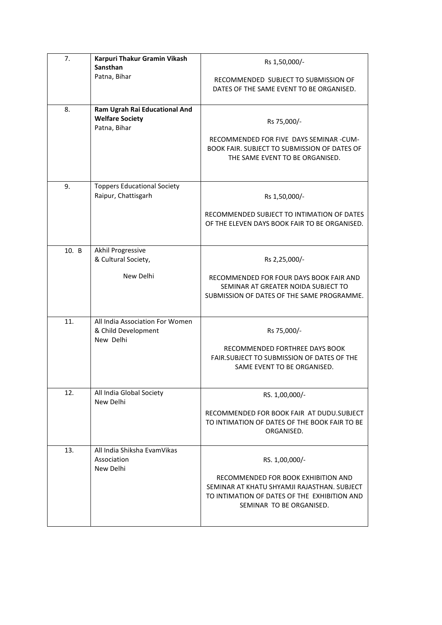| 7.    | Karpuri Thakur Gramin Vikash<br>Sansthan                                | Rs 1,50,000/-                                                                                                                                                                    |
|-------|-------------------------------------------------------------------------|----------------------------------------------------------------------------------------------------------------------------------------------------------------------------------|
|       | Patna, Bihar                                                            | RECOMMENDED SUBJECT TO SUBMISSION OF<br>DATES OF THE SAME EVENT TO BE ORGANISED.                                                                                                 |
| 8.    | Ram Ugrah Rai Educational And<br><b>Welfare Society</b><br>Patna, Bihar | Rs 75,000/-<br>RECOMMENDED FOR FIVE DAYS SEMINAR -CUM-<br>BOOK FAIR. SUBJECT TO SUBMISSION OF DATES OF<br>THE SAME EVENT TO BE ORGANISED.                                        |
| 9.    | <b>Toppers Educational Society</b><br>Raipur, Chattisgarh               | Rs 1,50,000/-<br>RECOMMENDED SUBJECT TO INTIMATION OF DATES<br>OF THE ELEVEN DAYS BOOK FAIR TO BE ORGANISED.                                                                     |
| 10. B | Akhil Progressive<br>& Cultural Society,<br>New Delhi                   | Rs 2,25,000/-<br>RECOMMENDED FOR FOUR DAYS BOOK FAIR AND<br>SEMINAR AT GREATER NOIDA SUBJECT TO<br>SUBMISSION OF DATES OF THE SAME PROGRAMME.                                    |
| 11.   | All India Association For Women<br>& Child Development<br>New Delhi     | Rs 75,000/-<br>RECOMMENDED FORTHREE DAYS BOOK<br>FAIR.SUBJECT TO SUBMISSION OF DATES OF THE<br>SAME EVENT TO BE ORGANISED.                                                       |
| 12.   | All India Global Society<br>New Delhi                                   | RS. 1,00,000/-<br>RECOMMENDED FOR BOOK FAIR AT DUDU. SUBJECT<br>TO INTIMATION OF DATES OF THE BOOK FAIR TO BE<br>ORGANISED.                                                      |
| 13.   | All India Shiksha EvamVikas<br>Association<br>New Delhi                 | RS. 1,00,000/-<br>RECOMMENDED FOR BOOK EXHIBITION AND<br>SEMINAR AT KHATU SHYAMJI RAJASTHAN. SUBJECT<br>TO INTIMATION OF DATES OF THE EXHIBITION AND<br>SEMINAR TO BE ORGANISED. |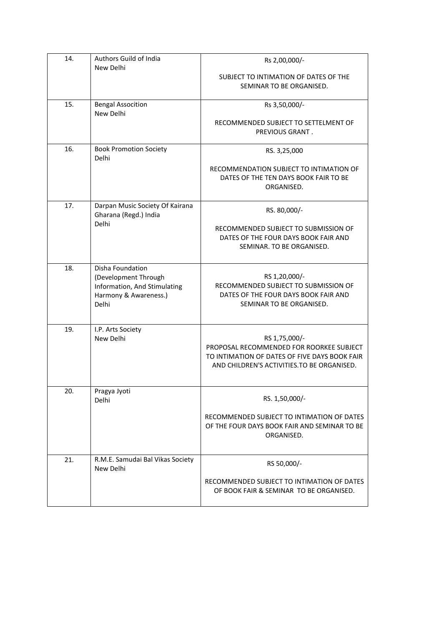| 14. | Authors Guild of India<br>New Delhi                                                                        | Rs 2,00,000/-                                                                                                                                             |
|-----|------------------------------------------------------------------------------------------------------------|-----------------------------------------------------------------------------------------------------------------------------------------------------------|
|     |                                                                                                            | SUBJECT TO INTIMATION OF DATES OF THE<br>SEMINAR TO BE ORGANISED.                                                                                         |
| 15. | <b>Bengal Assocition</b><br>New Delhi                                                                      | Rs 3,50,000/-                                                                                                                                             |
|     |                                                                                                            | RECOMMENDED SUBJECT TO SETTELMENT OF<br>PREVIOUS GRANT.                                                                                                   |
| 16. | <b>Book Promotion Society</b><br>Delhi                                                                     | RS. 3,25,000                                                                                                                                              |
|     |                                                                                                            | RECOMMENDATION SUBJECT TO INTIMATION OF<br>DATES OF THE TEN DAYS BOOK FAIR TO BE<br>ORGANISED.                                                            |
| 17. | Darpan Music Society Of Kairana<br>Gharana (Regd.) India                                                   | RS. 80,000/-                                                                                                                                              |
|     | Delhi                                                                                                      | RECOMMENDED SUBJECT TO SUBMISSION OF<br>DATES OF THE FOUR DAYS BOOK FAIR AND<br>SEMINAR. TO BE ORGANISED.                                                 |
| 18. | Disha Foundation<br>(Development Through<br>Information, And Stimulating<br>Harmony & Awareness.)<br>Delhi | RS 1,20,000/-<br>RECOMMENDED SUBJECT TO SUBMISSION OF<br>DATES OF THE FOUR DAYS BOOK FAIR AND<br>SEMINAR TO BE ORGANISED.                                 |
| 19. | I.P. Arts Society<br>New Delhi                                                                             | RS 1,75,000/-<br>PROPOSAL RECOMMENDED FOR ROORKEE SUBJECT<br>TO INTIMATION OF DATES OF FIVE DAYS BOOK FAIR<br>AND CHILDREN'S ACTIVITIES. TO BE ORGANISED. |
| 20. | Pragya Jyoti<br>Delhi                                                                                      | RS. 1,50,000/-                                                                                                                                            |
|     |                                                                                                            | RECOMMENDED SUBJECT TO INTIMATION OF DATES<br>OF THE FOUR DAYS BOOK FAIR AND SEMINAR TO BE<br>ORGANISED.                                                  |
| 21. | R.M.E. Samudai Bal Vikas Society<br>New Delhi                                                              | RS 50,000/-                                                                                                                                               |
|     |                                                                                                            | RECOMMENDED SUBJECT TO INTIMATION OF DATES<br>OF BOOK FAIR & SEMINAR TO BE ORGANISED.                                                                     |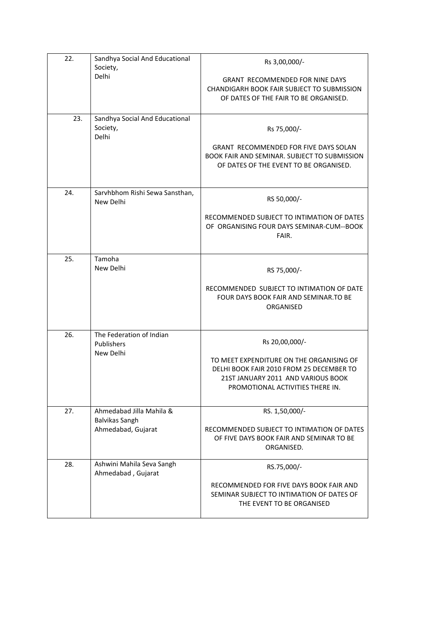| 22. | Sandhya Social And Educational<br>Society,                       | Rs 3,00,000/-                                                                                                                                                                    |
|-----|------------------------------------------------------------------|----------------------------------------------------------------------------------------------------------------------------------------------------------------------------------|
|     | Delhi                                                            | <b>GRANT RECOMMENDED FOR NINE DAYS</b><br><b>CHANDIGARH BOOK FAIR SUBJECT TO SUBMISSION</b><br>OF DATES OF THE FAIR TO BE ORGANISED.                                             |
| 23. | Sandhya Social And Educational<br>Society,<br>Delhi              | Rs 75,000/-<br><b>GRANT RECOMMENDED FOR FIVE DAYS SOLAN</b><br><b>BOOK FAIR AND SEMINAR, SUBJECT TO SUBMISSION</b><br>OF DATES OF THE EVENT TO BE ORGANISED.                     |
| 24. | Sarvhbhom Rishi Sewa Sansthan,<br>New Delhi                      | RS 50,000/-<br>RECOMMENDED SUBJECT TO INTIMATION OF DATES<br>OF ORGANISING FOUR DAYS SEMINAR-CUM--BOOK<br>FAIR.                                                                  |
| 25. | Tamoha<br>New Delhi                                              | RS 75,000/-<br>RECOMMENDED SUBJECT TO INTIMATION OF DATE<br>FOUR DAYS BOOK FAIR AND SEMINAR.TO BE<br>ORGANISED                                                                   |
| 26. | The Federation of Indian<br>Publishers<br>New Delhi              | Rs 20,00,000/-<br>TO MEET EXPENDITURE ON THE ORGANISING OF<br>DELHI BOOK FAIR 2010 FROM 25 DECEMBER TO<br>21ST JANUARY 2011 AND VARIOUS BOOK<br>PROMOTIONAL ACTIVITIES THERE IN. |
| 27. | Ahmedabad Jilla Mahila &<br>Balvikas Sangh<br>Ahmedabad, Gujarat | RS. 1,50,000/-<br>RECOMMENDED SUBJECT TO INTIMATION OF DATES<br>OF FIVE DAYS BOOK FAIR AND SEMINAR TO BE<br>ORGANISED.                                                           |
| 28. | Ashwini Mahila Seva Sangh<br>Ahmedabad, Gujarat                  | RS.75,000/-<br>RECOMMENDED FOR FIVE DAYS BOOK FAIR AND<br>SEMINAR SUBJECT TO INTIMATION OF DATES OF<br>THE EVENT TO BE ORGANISED                                                 |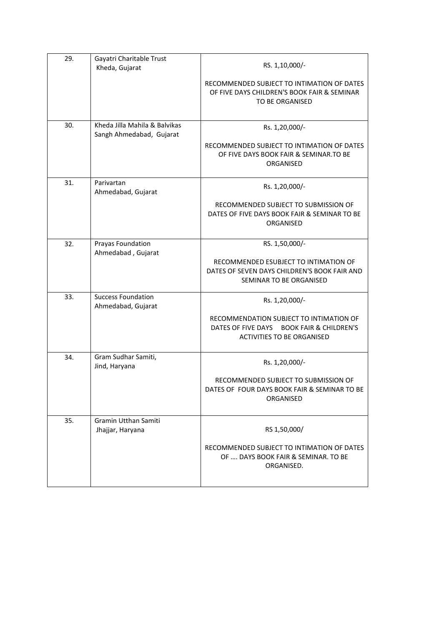| 29. | Gayatri Charitable Trust<br>Kheda, Gujarat                | RS. 1,10,000/-                                                                                                            |
|-----|-----------------------------------------------------------|---------------------------------------------------------------------------------------------------------------------------|
|     |                                                           | RECOMMENDED SUBJECT TO INTIMATION OF DATES<br>OF FIVE DAYS CHILDREN'S BOOK FAIR & SEMINAR<br>TO BE ORGANISED              |
| 30. | Kheda Jilla Mahila & Balvikas<br>Sangh Ahmedabad, Gujarat | Rs. 1,20,000/-<br>RECOMMENDED SUBJECT TO INTIMATION OF DATES                                                              |
|     |                                                           | OF FIVE DAYS BOOK FAIR & SEMINAR.TO BE<br>ORGANISED                                                                       |
| 31. | Parivartan<br>Ahmedabad, Gujarat                          | Rs. 1,20,000/-                                                                                                            |
|     |                                                           | RECOMMENDED SUBJECT TO SUBMISSION OF<br>DATES OF FIVE DAYS BOOK FAIR & SEMINAR TO BE<br>ORGANISED                         |
| 32. | Prayas Foundation<br>Ahmedabad, Gujarat                   | RS. 1,50,000/-                                                                                                            |
|     |                                                           | RECOMMENDED ESUBJECT TO INTIMATION OF<br>DATES OF SEVEN DAYS CHILDREN'S BOOK FAIR AND<br>SEMINAR TO BE ORGANISED          |
| 33. | <b>Success Foundation</b><br>Ahmedabad, Gujarat           | Rs. 1,20,000/-                                                                                                            |
|     |                                                           | RECOMMENDATION SUBJECT TO INTIMATION OF<br>DATES OF FIVE DAYS BOOK FAIR & CHILDREN'S<br><b>ACTIVITIES TO BE ORGANISED</b> |
| 34. | Gram Sudhar Samiti,<br>Jind, Haryana                      | Rs. 1,20,000/-                                                                                                            |
|     |                                                           | RECOMMENDED SUBJECT TO SUBMISSION OF<br>DATES OF FOUR DAYS BOOK FAIR & SEMINAR TO BE<br>ORGANISED                         |
| 35. | Gramin Utthan Samiti<br>Jhajjar, Haryana                  | RS 1,50,000/                                                                                                              |
|     |                                                           | RECOMMENDED SUBJECT TO INTIMATION OF DATES<br>OF  DAYS BOOK FAIR & SEMINAR. TO BE<br>ORGANISED.                           |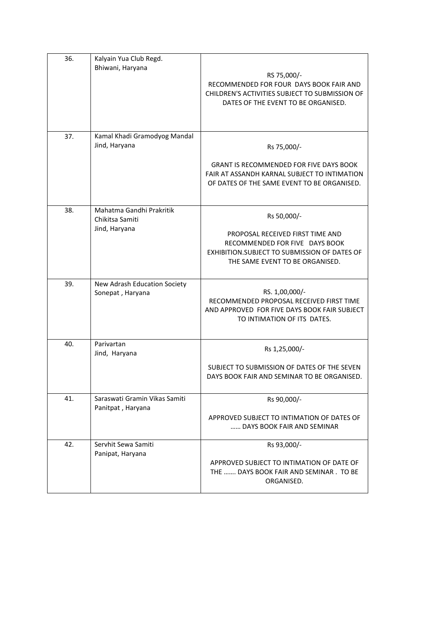| 36. | Kalyain Yua Club Regd.<br>Bhiwani, Haryana                   | RS 75,000/-<br>RECOMMENDED FOR FOUR DAYS BOOK FAIR AND<br>CHILDREN'S ACTIVITIES SUBJECT TO SUBMISSION OF<br>DATES OF THE EVENT TO BE ORGANISED.                       |
|-----|--------------------------------------------------------------|-----------------------------------------------------------------------------------------------------------------------------------------------------------------------|
| 37. | Kamal Khadi Gramodyog Mandal<br>Jind, Haryana                | Rs 75,000/-<br><b>GRANT IS RECOMMENDED FOR FIVE DAYS BOOK</b><br>FAIR AT ASSANDH KARNAL SUBJECT TO INTIMATION<br>OF DATES OF THE SAME EVENT TO BE ORGANISED.          |
| 38. | Mahatma Gandhi Prakritik<br>Chikitsa Samiti<br>Jind, Haryana | Rs 50,000/-<br>PROPOSAL RECEIVED FIRST TIME AND<br>RECOMMENDED FOR FIVE DAYS BOOK<br>EXHIBITION. SUBJECT TO SUBMISSION OF DATES OF<br>THE SAME EVENT TO BE ORGANISED. |
| 39. | New Adrash Education Society<br>Sonepat, Haryana             | RS. 1,00,000/-<br>RECOMMENDED PROPOSAL RECEIVED FIRST TIME<br>AND APPROVED FOR FIVE DAYS BOOK FAIR SUBJECT<br>TO INTIMATION OF ITS DATES.                             |
| 40. | Parivartan<br>Jind, Haryana                                  | Rs 1,25,000/-<br>SUBJECT TO SUBMISSION OF DATES OF THE SEVEN<br>DAYS BOOK FAIR AND SEMINAR TO BE ORGANISED.                                                           |
| 41. | Saraswati Gramin Vikas Samiti<br>Panitpat, Haryana           | Rs 90,000/-<br>APPROVED SUBJECT TO INTIMATION OF DATES OF<br>DAYS BOOK FAIR AND SEMINAR                                                                               |
| 42. | Servhit Sewa Samiti<br>Panipat, Haryana                      | Rs 93,000/-<br>APPROVED SUBJECT TO INTIMATION OF DATE OF<br>THE  DAYS BOOK FAIR AND SEMINAR. TO BE<br>ORGANISED.                                                      |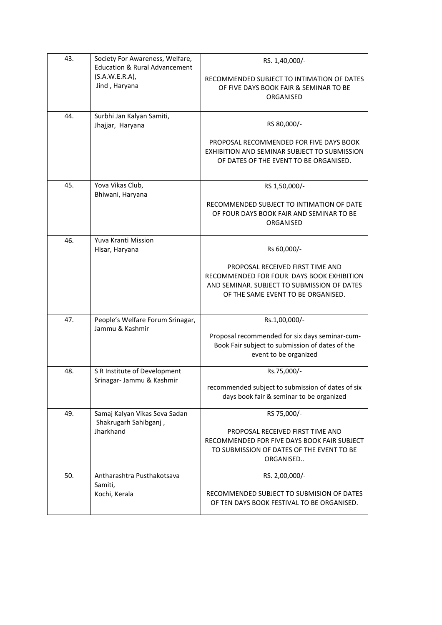| 43. | Society For Awareness, Welfare,<br><b>Education &amp; Rural Advancement</b><br>$(S.A.W.E.R.A)$ ,<br>Jind, Haryana | RS. 1,40,000/-<br>RECOMMENDED SUBJECT TO INTIMATION OF DATES<br>OF FIVE DAYS BOOK FAIR & SEMINAR TO BE<br>ORGANISED                                                               |
|-----|-------------------------------------------------------------------------------------------------------------------|-----------------------------------------------------------------------------------------------------------------------------------------------------------------------------------|
| 44. | Surbhi Jan Kalyan Samiti,<br>Jhajjar, Haryana                                                                     | RS 80,000/-<br>PROPOSAL RECOMMENDED FOR FIVE DAYS BOOK<br>EXHIBITION AND SEMINAR SUBJECT TO SUBMISSION<br>OF DATES OF THE EVENT TO BE ORGANISED.                                  |
| 45. | Yova Vikas Club,<br>Bhiwani, Haryana                                                                              | RS 1,50,000/-<br>RECOMMENDED SUBJECT TO INTIMATION OF DATE<br>OF FOUR DAYS BOOK FAIR AND SEMINAR TO BE<br>ORGANISED                                                               |
| 46. | Yuva Kranti Mission<br>Hisar, Haryana                                                                             | Rs 60,000/-<br>PROPOSAL RECEIVED FIRST TIME AND<br>RECOMMENDED FOR FOUR DAYS BOOK EXHIBITION<br>AND SEMINAR. SUBJECT TO SUBMISSION OF DATES<br>OF THE SAME EVENT TO BE ORGANISED. |
| 47. | People's Welfare Forum Srinagar,<br>Jammu & Kashmir                                                               | Rs.1,00,000/-<br>Proposal recommended for six days seminar-cum-<br>Book Fair subject to submission of dates of the<br>event to be organized                                       |
| 48. | S R Institute of Development<br>Srinagar- Jammu & Kashmir                                                         | Rs.75,000/-<br>recommended subject to submission of dates of six<br>days book fair & seminar to be organized                                                                      |
| 49. | Samaj Kalyan Vikas Seva Sadan<br>Shakrugarh Sahibganj,<br>Jharkhand                                               | RS 75,000/-<br>PROPOSAL RECEIVED FIRST TIME AND<br>RECOMMENDED FOR FIVE DAYS BOOK FAIR SUBJECT<br>TO SUBMISSION OF DATES OF THE EVENT TO BE<br>ORGANISED                          |
| 50. | Antharashtra Pusthakotsava<br>Samiti,<br>Kochi, Kerala                                                            | RS. 2,00,000/-<br>RECOMMENDED SUBJECT TO SUBMISION OF DATES<br>OF TEN DAYS BOOK FESTIVAL TO BE ORGANISED.                                                                         |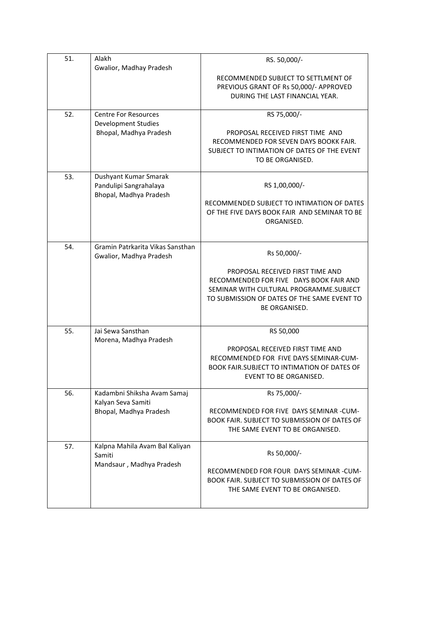| 51. | Alakh<br>Gwalior, Madhay Pradesh         | RS. 50,000/-                                                                                   |
|-----|------------------------------------------|------------------------------------------------------------------------------------------------|
|     |                                          | RECOMMENDED SUBJECT TO SETTLMENT OF                                                            |
|     |                                          | PREVIOUS GRANT OF Rs 50,000/- APPROVED                                                         |
|     |                                          | DURING THE LAST FINANCIAL YEAR.                                                                |
| 52. | <b>Centre For Resources</b>              | RS 75,000/-                                                                                    |
|     | <b>Development Studies</b>               |                                                                                                |
|     | Bhopal, Madhya Pradesh                   | PROPOSAL RECEIVED FIRST TIME AND<br>RECOMMENDED FOR SEVEN DAYS BOOKK FAIR.                     |
|     |                                          | SUBJECT TO INTIMATION OF DATES OF THE EVENT                                                    |
|     |                                          | TO BE ORGANISED.                                                                               |
| 53. | Dushyant Kumar Smarak                    |                                                                                                |
|     | Pandulipi Sangrahalaya                   | RS 1,00,000/-                                                                                  |
|     | Bhopal, Madhya Pradesh                   |                                                                                                |
|     |                                          | RECOMMENDED SUBJECT TO INTIMATION OF DATES<br>OF THE FIVE DAYS BOOK FAIR AND SEMINAR TO BE     |
|     |                                          | ORGANISED.                                                                                     |
|     |                                          |                                                                                                |
| 54. | Gramin Patrkarita Vikas Sansthan         |                                                                                                |
|     | Gwalior, Madhya Pradesh                  | Rs 50,000/-                                                                                    |
|     |                                          | PROPOSAL RECEIVED FIRST TIME AND                                                               |
|     |                                          | RECOMMENDED FOR FIVE DAYS BOOK FAIR AND                                                        |
|     |                                          | SEMINAR WITH CULTURAL PROGRAMME.SUBJECT<br>TO SUBMISSION OF DATES OF THE SAME EVENT TO         |
|     |                                          | <b>BE ORGANISED.</b>                                                                           |
|     |                                          |                                                                                                |
| 55. | Jai Sewa Sansthan                        | RS 50,000                                                                                      |
|     | Morena, Madhya Pradesh                   | PROPOSAL RECEIVED FIRST TIME AND                                                               |
|     |                                          | RECOMMENDED FOR FIVE DAYS SEMINAR-CUM-                                                         |
|     |                                          | <b>BOOK FAIR.SUBJECT TO INTIMATION OF DATES OF</b>                                             |
|     |                                          | EVENT TO BE ORGANISED.                                                                         |
| 56. | Kadambni Shiksha Avam Samaj              | Rs 75,000/-                                                                                    |
|     | Kalyan Seva Samiti                       |                                                                                                |
|     | Bhopal, Madhya Pradesh                   | RECOMMENDED FOR FIVE DAYS SEMINAR -CUM-<br><b>BOOK FAIR. SUBJECT TO SUBMISSION OF DATES OF</b> |
|     |                                          | THE SAME EVENT TO BE ORGANISED.                                                                |
|     |                                          |                                                                                                |
| 57. | Kalpna Mahila Avam Bal Kaliyan<br>Samiti | Rs 50,000/-                                                                                    |
|     | Mandsaur, Madhya Pradesh                 |                                                                                                |
|     |                                          | RECOMMENDED FOR FOUR DAYS SEMINAR -CUM-                                                        |
|     |                                          | BOOK FAIR. SUBJECT TO SUBMISSION OF DATES OF<br>THE SAME EVENT TO BE ORGANISED.                |
|     |                                          |                                                                                                |
|     |                                          |                                                                                                |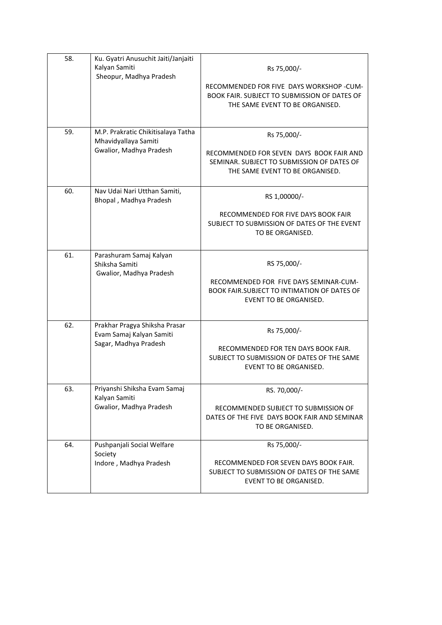| 58. | Ku. Gyatri Anusuchit Jaiti/Janjaiti<br>Kalyan Samiti<br>Sheopur, Madhya Pradesh       | Rs 75,000/-<br>RECOMMENDED FOR FIVE DAYS WORKSHOP -CUM-<br>BOOK FAIR. SUBJECT TO SUBMISSION OF DATES OF<br>THE SAME EVENT TO BE ORGANISED. |
|-----|---------------------------------------------------------------------------------------|--------------------------------------------------------------------------------------------------------------------------------------------|
| 59. | M.P. Prakratic Chikitisalaya Tatha<br>Mhavidyallaya Samiti<br>Gwalior, Madhya Pradesh | Rs 75,000/-<br>RECOMMENDED FOR SEVEN DAYS BOOK FAIR AND<br>SEMINAR. SUBJECT TO SUBMISSION OF DATES OF<br>THE SAME EVENT TO BE ORGANISED.   |
| 60. | Nav Udai Nari Utthan Samiti,<br>Bhopal, Madhya Pradesh                                | RS 1,00000/-<br>RECOMMENDED FOR FIVE DAYS BOOK FAIR<br>SUBJECT TO SUBMISSION OF DATES OF THE EVENT<br>TO BE ORGANISED.                     |
| 61. | Parashuram Samaj Kalyan<br>Shiksha Samiti<br>Gwalior, Madhya Pradesh                  | RS 75,000/-<br>RECOMMENDED FOR FIVE DAYS SEMINAR-CUM-<br>BOOK FAIR.SUBJECT TO INTIMATION OF DATES OF<br>EVENT TO BE ORGANISED.             |
| 62. | Prakhar Pragya Shiksha Prasar<br>Evam Samaj Kalyan Samiti<br>Sagar, Madhya Pradesh    | Rs 75,000/-<br>RECOMMENDED FOR TEN DAYS BOOK FAIR.<br>SUBJECT TO SUBMISSION OF DATES OF THE SAME<br>EVENT TO BE ORGANISED.                 |
| 63. | Priyanshi Shiksha Evam Samaj<br>Kalyan Samiti<br>Gwalior, Madhya Pradesh              | RS. 70,000/-<br>RECOMMENDED SUBJECT TO SUBMISSION OF<br>DATES OF THE FIVE DAYS BOOK FAIR AND SEMINAR<br>TO BE ORGANISED.                   |
| 64. | Pushpanjali Social Welfare<br>Society<br>Indore, Madhya Pradesh                       | Rs 75,000/-<br>RECOMMENDED FOR SEVEN DAYS BOOK FAIR.<br>SUBJECT TO SUBMISSION OF DATES OF THE SAME<br>EVENT TO BE ORGANISED.               |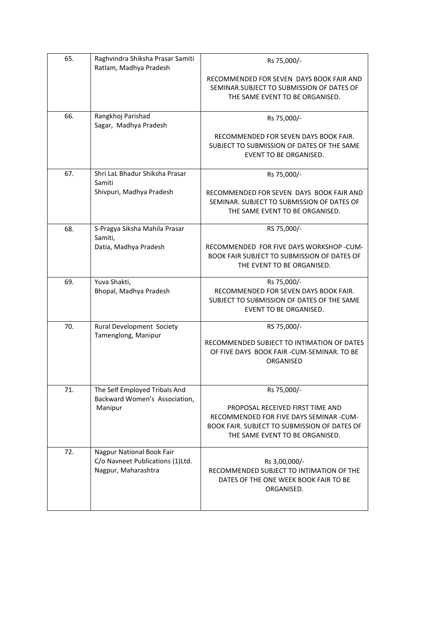| 65. | Raghvindra Shiksha Prasar Samiti<br>Ratlam, Madhya Pradesh                           | Rs 75,000/-                                                                                                                                                                   |
|-----|--------------------------------------------------------------------------------------|-------------------------------------------------------------------------------------------------------------------------------------------------------------------------------|
|     |                                                                                      | RECOMMENDED FOR SEVEN DAYS BOOK FAIR AND<br>SEMINAR.SUBJECT TO SUBMISSION OF DATES OF<br>THE SAME EVENT TO BE ORGANISED.                                                      |
| 66. | Rangkhoj Parishad<br>Sagar, Madhya Pradesh                                           | Rs 75,000/-                                                                                                                                                                   |
|     |                                                                                      | RECOMMENDED FOR SEVEN DAYS BOOK FAIR.<br>SUBJECT TO SUBMISSION OF DATES OF THE SAME<br>EVENT TO BE ORGANISED.                                                                 |
| 67. | Shri LaL Bhadur Shiksha Prasar<br>Samiti                                             | Rs 75,000/-                                                                                                                                                                   |
|     | Shivpuri, Madhya Pradesh                                                             | RECOMMENDED FOR SEVEN DAYS BOOK FAIR AND<br>SEMINAR. SUBJECT TO SUBMISSION OF DATES OF<br>THE SAME EVENT TO BE ORGANISED.                                                     |
| 68. | S-Pragya Siksha Mahila Prasar<br>Samiti,                                             | RS 75,000/-                                                                                                                                                                   |
|     | Datia, Madhya Pradesh                                                                | RECOMMENDED FOR FIVE DAYS WORKSHOP -CUM-<br>BOOK FAIR SUBJECT TO SUBMISSION OF DATES OF<br>THE EVENT TO BE ORGANISED.                                                         |
| 69. | Yuva Shakti,<br>Bhopal, Madhya Pradesh                                               | Rs 75,000/-<br>RECOMMENDED FOR SEVEN DAYS BOOK FAIR.<br>SUBJECT TO SUBMISSION OF DATES OF THE SAME<br>EVENT TO BE ORGANISED.                                                  |
| 70. | Rural Development Society<br>Tamenglong, Manipur                                     | RS 75,000/-<br>RECOMMENDED SUBJECT TO INTIMATION OF DATES<br>OF FIVE DAYS BOOK FAIR - CUM-SEMINAR. TO BE<br>ORGANISED                                                         |
| 71. | The Self Employed Tribals And<br>Backward Women's Association,<br>Manipur            | Rs 75,000/-<br>PROPOSAL RECEIVED FIRST TIME AND<br>RECOMMENDED FOR FIVE DAYS SEMINAR -CUM-<br>BOOK FAIR. SUBJECT TO SUBMISSION OF DATES OF<br>THE SAME EVENT TO BE ORGANISED. |
| 72. | Nagpur National Book Fair<br>C/o Navneet Publications (1)Ltd.<br>Nagpur, Maharashtra | Rs 3,00,000/-<br>RECOMMENDED SUBJECT TO INTIMATION OF THE<br>DATES OF THE ONE WEEK BOOK FAIR TO BE<br>ORGANISED.                                                              |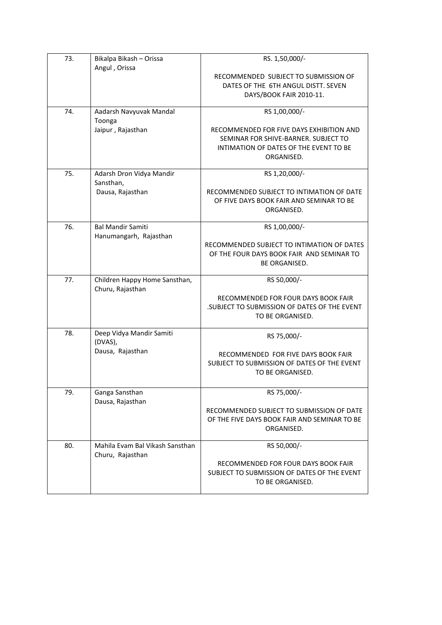| 73. | Bikalpa Bikash - Orissa                             | RS. 1,50,000/-                                                                            |
|-----|-----------------------------------------------------|-------------------------------------------------------------------------------------------|
|     | Angul, Orissa                                       | RECOMMENDED SUBJECT TO SUBMISSION OF                                                      |
|     |                                                     | DATES OF THE 6TH ANGUL DISTT. SEVEN                                                       |
|     |                                                     | DAYS/BOOK FAIR 2010-11.                                                                   |
| 74. | Aadarsh Navyuvak Mandal                             | RS 1,00,000/-                                                                             |
|     | Toonga                                              |                                                                                           |
|     | Jaipur, Rajasthan                                   | RECOMMENDED FOR FIVE DAYS EXHIBITION AND                                                  |
|     |                                                     | SEMINAR FOR SHIVE-BARNER. SUBJECT TO<br>INTIMATION OF DATES OF THE EVENT TO BE            |
|     |                                                     | ORGANISED.                                                                                |
| 75. | Adarsh Dron Vidya Mandir                            |                                                                                           |
|     | Sansthan,                                           | RS 1,20,000/-                                                                             |
|     | Dausa, Rajasthan                                    | RECOMMENDED SUBJECT TO INTIMATION OF DATE                                                 |
|     |                                                     | OF FIVE DAYS BOOK FAIR AND SEMINAR TO BE                                                  |
|     |                                                     | ORGANISED.                                                                                |
| 76. | <b>Bal Mandir Samiti</b>                            | RS 1,00,000/-                                                                             |
|     | Hanumangarh, Rajasthan                              | RECOMMENDED SUBJECT TO INTIMATION OF DATES                                                |
|     |                                                     | OF THE FOUR DAYS BOOK FAIR AND SEMINAR TO                                                 |
|     |                                                     | <b>BE ORGANISED.</b>                                                                      |
| 77. | Children Happy Home Sansthan,                       | RS 50,000/-                                                                               |
|     | Churu, Rajasthan                                    |                                                                                           |
|     |                                                     | RECOMMENDED FOR FOUR DAYS BOOK FAIR                                                       |
|     |                                                     | SUBJECT TO SUBMISSION OF DATES OF THE EVENT<br>TO BE ORGANISED.                           |
|     |                                                     |                                                                                           |
| 78. | Deep Vidya Mandir Samiti<br>(DVAS),                 | RS 75,000/-                                                                               |
|     | Dausa, Rajasthan                                    | RECOMMENDED FOR FIVE DAYS BOOK FAIR                                                       |
|     |                                                     | SUBJECT TO SUBMISSION OF DATES OF THE EVENT                                               |
|     |                                                     | TO BE ORGANISED.                                                                          |
| 79. | Ganga Sansthan                                      | RS 75,000/-                                                                               |
|     | Dausa, Rajasthan                                    |                                                                                           |
|     |                                                     | RECOMMENDED SUBJECT TO SUBMISSION OF DATE<br>OF THE FIVE DAYS BOOK FAIR AND SEMINAR TO BE |
|     |                                                     | ORGANISED.                                                                                |
|     |                                                     |                                                                                           |
| 80. | Mahila Evam Bal Vikash Sansthan<br>Churu, Rajasthan | RS 50,000/-                                                                               |
|     |                                                     | RECOMMENDED FOR FOUR DAYS BOOK FAIR                                                       |
|     |                                                     | SUBJECT TO SUBMISSION OF DATES OF THE EVENT                                               |
|     |                                                     | TO BE ORGANISED.                                                                          |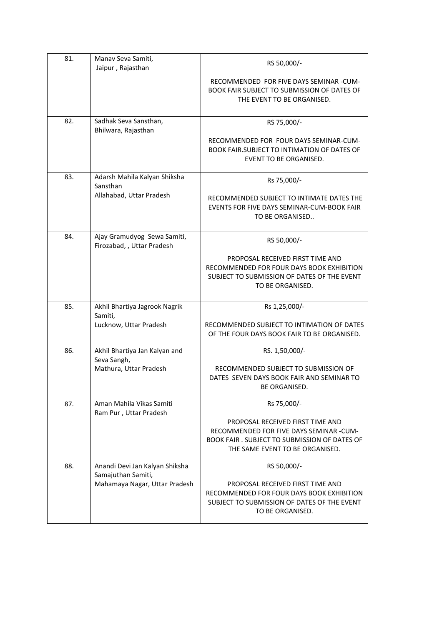| 81. | Manav Seva Samiti,<br>Jaipur, Rajasthan                   | RS 50,000/-                                                                                                                                                     |
|-----|-----------------------------------------------------------|-----------------------------------------------------------------------------------------------------------------------------------------------------------------|
|     |                                                           | RECOMMENDED FOR FIVE DAYS SEMINAR -CUM-<br>BOOK FAIR SUBJECT TO SUBMISSION OF DATES OF<br>THE EVENT TO BE ORGANISED.                                            |
| 82. | Sadhak Seva Sansthan,<br>Bhilwara, Rajasthan              | RS 75,000/-                                                                                                                                                     |
|     |                                                           | RECOMMENDED FOR FOUR DAYS SEMINAR-CUM-<br><b>BOOK FAIR, SUBJECT TO INTIMATION OF DATES OF</b><br><b>EVENT TO BE ORGANISED.</b>                                  |
| 83. | Adarsh Mahila Kalyan Shiksha<br>Sansthan                  | Rs 75,000/-                                                                                                                                                     |
|     | Allahabad, Uttar Pradesh                                  | RECOMMENDED SUBJECT TO INTIMATE DATES THE<br>EVENTS FOR FIVE DAYS SEMINAR-CUM-BOOK FAIR<br>TO BE ORGANISED                                                      |
| 84. | Ajay Gramudyog Sewa Samiti,<br>Firozabad, , Uttar Pradesh | RS 50,000/-                                                                                                                                                     |
|     |                                                           | PROPOSAL RECEIVED FIRST TIME AND<br>RECOMMENDED FOR FOUR DAYS BOOK EXHIBITION<br>SUBJECT TO SUBMISSION OF DATES OF THE EVENT<br>TO BE ORGANISED.                |
| 85. | Akhil Bhartiya Jagrook Nagrik<br>Samiti,                  | Rs 1,25,000/-                                                                                                                                                   |
|     | Lucknow, Uttar Pradesh                                    | RECOMMENDED SUBJECT TO INTIMATION OF DATES<br>OF THE FOUR DAYS BOOK FAIR TO BE ORGANISED.                                                                       |
| 86. | Akhil Bhartiya Jan Kalyan and<br>Seva Sangh,              | RS. 1,50,000/-                                                                                                                                                  |
|     | Mathura, Uttar Pradesh                                    | RECOMMENDED SUBJECT TO SUBMISSION OF<br>DATES SEVEN DAYS BOOK FAIR AND SEMINAR TO<br>BE ORGANISED.                                                              |
| 87. | Aman Mahila Vikas Samiti<br>Ram Pur, Uttar Pradesh        | Rs 75,000/-                                                                                                                                                     |
|     |                                                           | PROPOSAL RECEIVED FIRST TIME AND<br>RECOMMENDED FOR FIVE DAYS SEMINAR -CUM-<br>BOOK FAIR . SUBJECT TO SUBMISSION OF DATES OF<br>THE SAME EVENT TO BE ORGANISED. |
| 88. | Anandi Devi Jan Kalyan Shiksha<br>Samajuthan Samiti,      | RS 50,000/-                                                                                                                                                     |
|     | Mahamaya Nagar, Uttar Pradesh                             | PROPOSAL RECEIVED FIRST TIME AND<br>RECOMMENDED FOR FOUR DAYS BOOK EXHIBITION<br>SUBJECT TO SUBMISSION OF DATES OF THE EVENT<br>TO BE ORGANISED.                |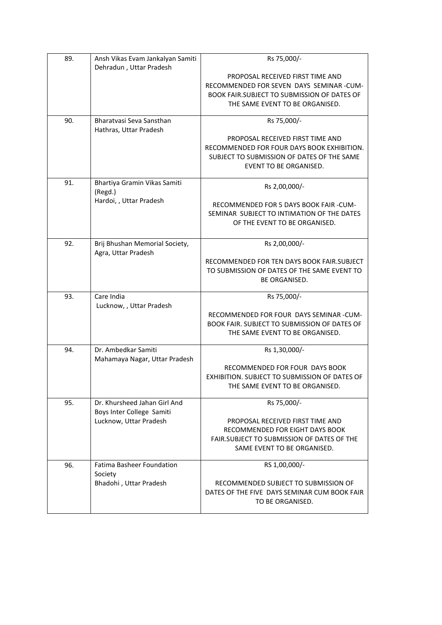| 89. | Ansh Vikas Evam Jankalyan Samiti<br>Dehradun, Uttar Pradesh | Rs 75,000/-                                   |
|-----|-------------------------------------------------------------|-----------------------------------------------|
|     |                                                             | PROPOSAL RECEIVED FIRST TIME AND              |
|     |                                                             | RECOMMENDED FOR SEVEN DAYS SEMINAR-CUM-       |
|     |                                                             | BOOK FAIR.SUBJECT TO SUBMISSION OF DATES OF   |
|     |                                                             | THE SAME EVENT TO BE ORGANISED.               |
|     |                                                             |                                               |
| 90. | Bharatyasi Seva Sansthan                                    | Rs 75,000/-                                   |
|     | Hathras, Uttar Pradesh                                      | PROPOSAL RECEIVED FIRST TIME AND              |
|     |                                                             | RECOMMENDED FOR FOUR DAYS BOOK EXHIBITION.    |
|     |                                                             | SUBJECT TO SUBMISSION OF DATES OF THE SAME    |
|     |                                                             | <b>EVENT TO BE ORGANISED.</b>                 |
|     |                                                             |                                               |
| 91. | Bhartiya Gramin Vikas Samiti                                | Rs 2,00,000/-                                 |
|     | (Regd.)                                                     |                                               |
|     | Hardoi, , Uttar Pradesh                                     | RECOMMENDED FOR 5 DAYS BOOK FAIR -CUM-        |
|     |                                                             | SEMINAR SUBJECT TO INTIMATION OF THE DATES    |
|     |                                                             | OF THE EVENT TO BE ORGANISED.                 |
| 92. | Brij Bhushan Memorial Society,                              | Rs 2,00,000/-                                 |
|     | Agra, Uttar Pradesh                                         |                                               |
|     |                                                             | RECOMMENDED FOR TEN DAYS BOOK FAIR.SUBJECT    |
|     |                                                             | TO SUBMISSION OF DATES OF THE SAME EVENT TO   |
|     |                                                             | <b>BE ORGANISED.</b>                          |
|     |                                                             |                                               |
| 93. | Care India<br>Lucknow, , Uttar Pradesh                      | Rs 75,000/-                                   |
|     |                                                             | RECOMMENDED FOR FOUR DAYS SEMINAR -CUM-       |
|     |                                                             | BOOK FAIR. SUBJECT TO SUBMISSION OF DATES OF  |
|     |                                                             | THE SAME EVENT TO BE ORGANISED.               |
|     |                                                             |                                               |
| 94. | Dr. Ambedkar Samiti<br>Mahamaya Nagar, Uttar Pradesh        | Rs 1,30,000/-                                 |
|     |                                                             | RECOMMENDED FOR FOUR DAYS BOOK                |
|     |                                                             | EXHIBITION. SUBJECT TO SUBMISSION OF DATES OF |
|     |                                                             | THE SAME EVENT TO BE ORGANISED.               |
|     |                                                             |                                               |
| 95. | Dr. Khursheed Jahan Girl And                                | Rs 75,000/-                                   |
|     | Boys Inter College Samiti<br>Lucknow, Uttar Pradesh         | PROPOSAL RECEIVED FIRST TIME AND              |
|     |                                                             | RECOMMENDED FOR EIGHT DAYS BOOK               |
|     |                                                             | FAIR.SUBJECT TO SUBMISSION OF DATES OF THE    |
|     |                                                             | SAME EVENT TO BE ORGANISED.                   |
|     |                                                             |                                               |
| 96. | <b>Fatima Basheer Foundation</b>                            | RS 1,00,000/-                                 |
|     | Society                                                     | RECOMMENDED SUBJECT TO SUBMISSION OF          |
|     | Bhadohi, Uttar Pradesh                                      | DATES OF THE FIVE DAYS SEMINAR CUM BOOK FAIR  |
|     |                                                             | TO BE ORGANISED.                              |
|     |                                                             |                                               |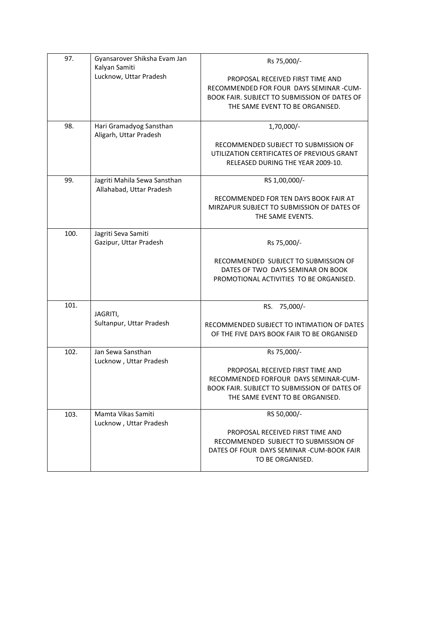| 97.  | Gyansarover Shiksha Evam Jan<br>Kalyan Samiti            | Rs 75,000/-                                                                              |
|------|----------------------------------------------------------|------------------------------------------------------------------------------------------|
|      | Lucknow, Uttar Pradesh                                   | PROPOSAL RECEIVED FIRST TIME AND                                                         |
|      |                                                          | RECOMMENDED FOR FOUR DAYS SEMINAR -CUM-                                                  |
|      |                                                          | BOOK FAIR. SUBJECT TO SUBMISSION OF DATES OF                                             |
|      |                                                          | THE SAME EVENT TO BE ORGANISED.                                                          |
| 98.  | Hari Gramadyog Sansthan                                  | 1,70,000/-                                                                               |
|      | Aligarh, Uttar Pradesh                                   |                                                                                          |
|      |                                                          | RECOMMENDED SUBJECT TO SUBMISSION OF                                                     |
|      |                                                          | UTILIZATION CERTIFICATES OF PREVIOUS GRANT<br>RELEASED DURING THE YEAR 2009-10.          |
|      |                                                          |                                                                                          |
| 99.  | Jagriti Mahila Sewa Sansthan<br>Allahabad, Uttar Pradesh | RS 1,00,000/-                                                                            |
|      |                                                          | RECOMMENDED FOR TEN DAYS BOOK FAIR AT                                                    |
|      |                                                          | MIRZAPUR SUBJECT TO SUBMISSION OF DATES OF                                               |
|      |                                                          | THE SAME EVENTS.                                                                         |
| 100. | Jagriti Seva Samiti                                      |                                                                                          |
|      | Gazipur, Uttar Pradesh                                   | Rs 75,000/-                                                                              |
|      |                                                          |                                                                                          |
|      |                                                          | RECOMMENDED SUBJECT TO SUBMISSION OF                                                     |
|      |                                                          | DATES OF TWO DAYS SEMINAR ON BOOK<br>PROMOTIONAL ACTIVITIES TO BE ORGANISED.             |
|      |                                                          |                                                                                          |
|      |                                                          |                                                                                          |
| 101. |                                                          | RS. 75,000/-                                                                             |
|      | JAGRITI,<br>Sultanpur, Uttar Pradesh                     |                                                                                          |
|      |                                                          | RECOMMENDED SUBJECT TO INTIMATION OF DATES<br>OF THE FIVE DAYS BOOK FAIR TO BE ORGANISED |
|      |                                                          |                                                                                          |
| 102. | Jan Sewa Sansthan                                        | Rs 75,000/-                                                                              |
|      | Lucknow, Uttar Pradesh                                   |                                                                                          |
|      |                                                          | PROPOSAL RECEIVED FIRST TIME AND<br>RECOMMENDED FORFOUR DAYS SEMINAR-CUM-                |
|      |                                                          | BOOK FAIR. SUBJECT TO SUBMISSION OF DATES OF                                             |
|      |                                                          | THE SAME EVENT TO BE ORGANISED.                                                          |
|      |                                                          |                                                                                          |
| 103. | Mamta Vikas Samiti                                       | RS 50,000/-                                                                              |
|      | Lucknow, Uttar Pradesh                                   | PROPOSAL RECEIVED FIRST TIME AND                                                         |
|      |                                                          | RECOMMENDED SUBJECT TO SUBMISSION OF                                                     |
|      |                                                          | DATES OF FOUR DAYS SEMINAR - CUM-BOOK FAIR                                               |
|      |                                                          | TO BE ORGANISED.                                                                         |
|      |                                                          |                                                                                          |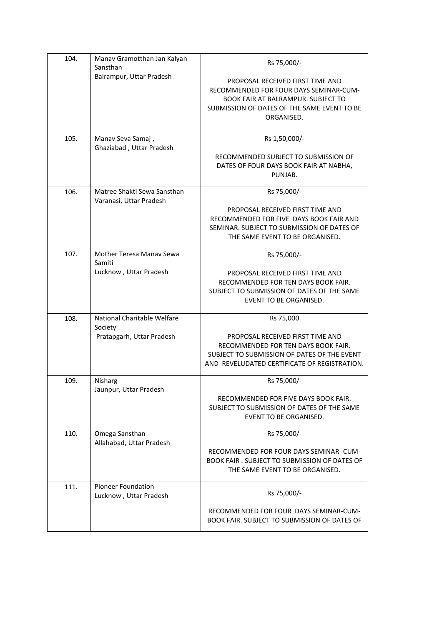| 104. | Manav Gramotthan Jan Kalyan<br>Sansthan                | Rs 75,000/-                                                                                                                                                                          |
|------|--------------------------------------------------------|--------------------------------------------------------------------------------------------------------------------------------------------------------------------------------------|
|      | Balrampur, Uttar Pradesh                               | PROPOSAL RECEIVED FIRST TIME AND<br>RECOMMENDED FOR FOUR DAYS SEMINAR-CUM-<br><b>BOOK FAIR AT BALRAMPUR. SUBJECT TO</b><br>SUBMISSION OF DATES OF THE SAME EVENT TO BE<br>ORGANISED. |
| 105. | Manav Seva Samaj,<br>Ghaziabad, Uttar Pradesh          | Rs 1,50,000/-                                                                                                                                                                        |
|      |                                                        | RECOMMENDED SUBJECT TO SUBMISSION OF<br>DATES OF FOUR DAYS BOOK FAIR AT NABHA,<br>PUNJAB.                                                                                            |
| 106. | Matree Shakti Sewa Sansthan<br>Varanasi, Uttar Pradesh | Rs 75,000/-                                                                                                                                                                          |
|      |                                                        | PROPOSAL RECEIVED FIRST TIME AND<br>RECOMMENDED FOR FIVE DAYS BOOK FAIR AND<br>SEMINAR. SUBJECT TO SUBMISSION OF DATES OF<br>THE SAME EVENT TO BE ORGANISED.                         |
| 107. | <b>Mother Teresa Manay Sewa</b><br>Samiti              | Rs 75,000/-                                                                                                                                                                          |
|      | Lucknow, Uttar Pradesh                                 | PROPOSAL RECEIVED FIRST TIME AND<br>RECOMMENDED FOR TEN DAYS BOOK FAIR.<br>SUBJECT TO SUBMISSION OF DATES OF THE SAME<br>EVENT TO BE ORGANISED.                                      |
| 108. | National Charitable Welfare<br>Society                 | Rs 75,000                                                                                                                                                                            |
|      | Pratapgarh, Uttar Pradesh                              | PROPOSAL RECEIVED FIRST TIME AND<br>RECOMMENDED FOR TEN DAYS BOOK FAIR.<br>SUBJECT TO SUBMISSION OF DATES OF THE EVENT<br>AND REVELUDATED CERTIFICATE OF REGISTRATION.               |
| 109. | Nisharg<br>Jaunpur, Uttar Pradesh                      | Rs 75,000/-                                                                                                                                                                          |
|      |                                                        | RECOMMENDED FOR FIVE DAYS BOOK FAIR.<br>SUBJECT TO SUBMISSION OF DATES OF THE SAME<br><b>EVENT TO BE ORGANISED.</b>                                                                  |
| 110. | Omega Sansthan<br>Allahabad, Uttar Pradesh             | Rs 75,000/-                                                                                                                                                                          |
|      |                                                        | RECOMMENDED FOR FOUR DAYS SEMINAR -CUM-<br>BOOK FAIR . SUBJECT TO SUBMISSION OF DATES OF<br>THE SAME EVENT TO BE ORGANISED.                                                          |
| 111. | Pioneer Foundation<br>Lucknow, Uttar Pradesh           | Rs 75,000/-                                                                                                                                                                          |
|      |                                                        | RECOMMENDED FOR FOUR DAYS SEMINAR-CUM-<br><b>BOOK FAIR. SUBJECT TO SUBMISSION OF DATES OF</b>                                                                                        |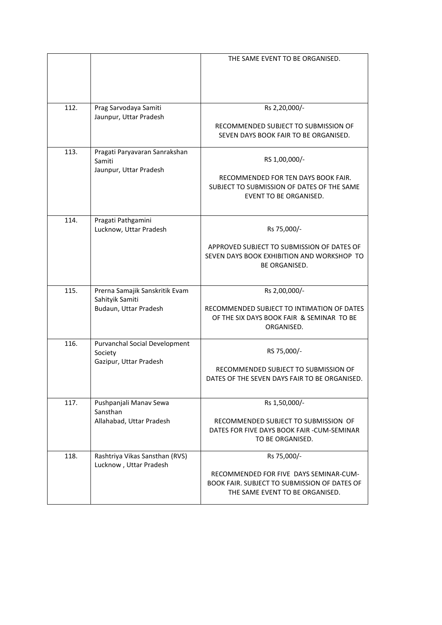|      |                                                                            | THE SAME EVENT TO BE ORGANISED.                                                                                                          |
|------|----------------------------------------------------------------------------|------------------------------------------------------------------------------------------------------------------------------------------|
| 112. | Prag Sarvodaya Samiti<br>Jaunpur, Uttar Pradesh                            | Rs 2,20,000/-<br>RECOMMENDED SUBJECT TO SUBMISSION OF<br>SEVEN DAYS BOOK FAIR TO BE ORGANISED.                                           |
| 113. | Pragati Paryavaran Sanrakshan<br>Samiti<br>Jaunpur, Uttar Pradesh          | RS 1,00,000/-<br>RECOMMENDED FOR TEN DAYS BOOK FAIR.<br>SUBJECT TO SUBMISSION OF DATES OF THE SAME<br><b>EVENT TO BE ORGANISED.</b>      |
| 114. | Pragati Pathgamini<br>Lucknow, Uttar Pradesh                               | Rs 75,000/-<br>APPROVED SUBJECT TO SUBMISSION OF DATES OF<br>SEVEN DAYS BOOK EXHIBITION AND WORKSHOP TO<br><b>BE ORGANISED.</b>          |
| 115. | Prerna Samajik Sanskritik Evam<br>Sahityik Samiti<br>Budaun, Uttar Pradesh | Rs 2,00,000/-<br>RECOMMENDED SUBJECT TO INTIMATION OF DATES<br>OF THE SIX DAYS BOOK FAIR & SEMINAR TO BE<br>ORGANISED.                   |
| 116. | Purvanchal Social Development<br>Society<br>Gazipur, Uttar Pradesh         | RS 75,000/-<br>RECOMMENDED SUBJECT TO SUBMISSION OF<br>DATES OF THE SEVEN DAYS FAIR TO BE ORGANISED.                                     |
| 117. | Pushpanjali Manav Sewa<br>Sansthan<br>Allahabad, Uttar Pradesh             | Rs 1,50,000/-<br>RECOMMENDED SUBJECT TO SUBMISSION OF<br>DATES FOR FIVE DAYS BOOK FAIR -CUM-SEMINAR<br>TO BE ORGANISED.                  |
| 118. | Rashtriya Vikas Sansthan (RVS)<br>Lucknow, Uttar Pradesh                   | Rs 75,000/-<br>RECOMMENDED FOR FIVE DAYS SEMINAR-CUM-<br>BOOK FAIR. SUBJECT TO SUBMISSION OF DATES OF<br>THE SAME EVENT TO BE ORGANISED. |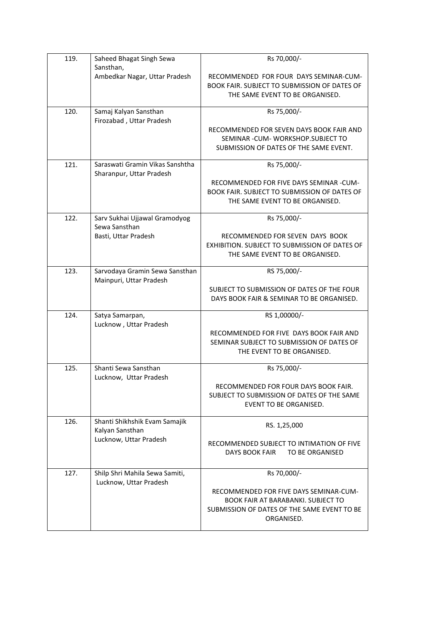| 119. | Saheed Bhagat Singh Sewa<br>Sansthan,                       | Rs 70,000/-                                                                                                                                      |
|------|-------------------------------------------------------------|--------------------------------------------------------------------------------------------------------------------------------------------------|
|      | Ambedkar Nagar, Uttar Pradesh                               | RECOMMENDED FOR FOUR DAYS SEMINAR-CUM-<br>BOOK FAIR. SUBJECT TO SUBMISSION OF DATES OF<br>THE SAME EVENT TO BE ORGANISED.                        |
| 120. | Samaj Kalyan Sansthan                                       | Rs 75,000/-                                                                                                                                      |
|      | Firozabad, Uttar Pradesh                                    | RECOMMENDED FOR SEVEN DAYS BOOK FAIR AND<br>SEMINAR - CUM- WORKSHOP. SUBJECT TO<br>SUBMISSION OF DATES OF THE SAME EVENT.                        |
| 121. | Saraswati Gramin Vikas Sanshtha<br>Sharanpur, Uttar Pradesh | Rs 75,000/-                                                                                                                                      |
|      |                                                             | RECOMMENDED FOR FIVE DAYS SEMINAR -CUM-<br>BOOK FAIR. SUBJECT TO SUBMISSION OF DATES OF<br>THE SAME EVENT TO BE ORGANISED.                       |
| 122. | Sarv Sukhai Ujjawal Gramodyog<br>Sewa Sansthan              | Rs 75,000/-                                                                                                                                      |
|      | Basti, Uttar Pradesh                                        | RECOMMENDED FOR SEVEN DAYS BOOK<br>EXHIBITION. SUBJECT TO SUBMISSION OF DATES OF<br>THE SAME EVENT TO BE ORGANISED.                              |
| 123. | Sarvodaya Gramin Sewa Sansthan<br>Mainpuri, Uttar Pradesh   | RS 75,000/-                                                                                                                                      |
|      |                                                             | SUBJECT TO SUBMISSION OF DATES OF THE FOUR<br>DAYS BOOK FAIR & SEMINAR TO BE ORGANISED.                                                          |
| 124. | Satya Samarpan,<br>Lucknow, Uttar Pradesh                   | RS 1,00000/-                                                                                                                                     |
|      |                                                             | RECOMMENDED FOR FIVE DAYS BOOK FAIR AND<br>SEMINAR SUBJECT TO SUBMISSION OF DATES OF<br>THE EVENT TO BE ORGANISED.                               |
| 125. | Shanti Sewa Sansthan<br>Lucknow, Uttar Pradesh              | Rs 75,000/-                                                                                                                                      |
|      |                                                             | RECOMMENDED FOR FOUR DAYS BOOK FAIR.<br>SUBJECT TO SUBMISSION OF DATES OF THE SAME<br>EVENT TO BE ORGANISED.                                     |
| 126. | Shanti Shikhshik Evam Samajik<br>Kalyan Sansthan            | RS. 1,25,000                                                                                                                                     |
|      | Lucknow, Uttar Pradesh                                      | RECOMMENDED SUBJECT TO INTIMATION OF FIVE<br>DAYS BOOK FAIR<br>TO BE ORGANISED                                                                   |
| 127. | Shilp Shri Mahila Sewa Samiti,<br>Lucknow, Uttar Pradesh    | Rs 70,000/-                                                                                                                                      |
|      |                                                             | RECOMMENDED FOR FIVE DAYS SEMINAR-CUM-<br><b>BOOK FAIR AT BARABANKI. SUBJECT TO</b><br>SUBMISSION OF DATES OF THE SAME EVENT TO BE<br>ORGANISED. |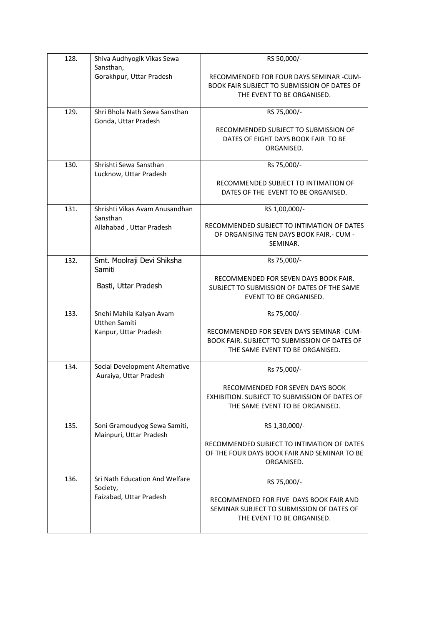| 128. | Shiva Audhyogik Vikas Sewa                               | RS 50,000/-                                                                                                                 |
|------|----------------------------------------------------------|-----------------------------------------------------------------------------------------------------------------------------|
|      | Sansthan,                                                |                                                                                                                             |
|      | Gorakhpur, Uttar Pradesh                                 | RECOMMENDED FOR FOUR DAYS SEMINAR -CUM-<br>BOOK FAIR SUBJECT TO SUBMISSION OF DATES OF<br>THE EVENT TO BE ORGANISED.        |
|      |                                                          |                                                                                                                             |
| 129. | Shri Bhola Nath Sewa Sansthan<br>Gonda, Uttar Pradesh    | RS 75,000/-                                                                                                                 |
|      |                                                          | RECOMMENDED SUBJECT TO SUBMISSION OF<br>DATES OF EIGHT DAYS BOOK FAIR TO BE<br>ORGANISED.                                   |
| 130. | Shrishti Sewa Sansthan<br>Lucknow, Uttar Pradesh         | Rs 75,000/-                                                                                                                 |
|      |                                                          | RECOMMENDED SUBJECT TO INTIMATION OF<br>DATES OF THE EVENT TO BE ORGANISED.                                                 |
| 131. | Shrishti Vikas Avam Anusandhan<br>Sansthan               | RS 1,00,000/-                                                                                                               |
|      | Allahabad, Uttar Pradesh                                 | RECOMMENDED SUBJECT TO INTIMATION OF DATES<br>OF ORGANISING TEN DAYS BOOK FAIR.- CUM -<br>SEMINAR.                          |
| 132. | Smt. Moolraji Devi Shiksha<br>Samiti                     | Rs 75,000/-                                                                                                                 |
|      | Basti, Uttar Pradesh                                     | RECOMMENDED FOR SEVEN DAYS BOOK FAIR.<br>SUBJECT TO SUBMISSION OF DATES OF THE SAME<br><b>EVENT TO BE ORGANISED.</b>        |
| 133. | Snehi Mahila Kalyan Avam                                 | Rs 75,000/-                                                                                                                 |
|      | <b>Utthen Samiti</b><br>Kanpur, Uttar Pradesh            | RECOMMENDED FOR SEVEN DAYS SEMINAR -CUM-<br>BOOK FAIR. SUBJECT TO SUBMISSION OF DATES OF<br>THE SAME EVENT TO BE ORGANISED. |
| 134. | Social Development Alternative<br>Auraiya, Uttar Pradesh | Rs 75,000/-                                                                                                                 |
|      |                                                          | RECOMMENDED FOR SEVEN DAYS BOOK<br>EXHIBITION, SUBJECT TO SUBMISSION OF DATES OF<br>THE SAME EVENT TO BE ORGANISED.         |
| 135. | Soni Gramoudyog Sewa Samiti,<br>Mainpuri, Uttar Pradesh  | RS 1,30,000/-                                                                                                               |
|      |                                                          | RECOMMENDED SUBJECT TO INTIMATION OF DATES<br>OF THE FOUR DAYS BOOK FAIR AND SEMINAR TO BE<br>ORGANISED.                    |
| 136. | Sri Nath Education And Welfare<br>Society,               | RS 75,000/-                                                                                                                 |
|      | Faizabad, Uttar Pradesh                                  | RECOMMENDED FOR FIVE DAYS BOOK FAIR AND<br>SEMINAR SUBJECT TO SUBMISSION OF DATES OF<br>THE EVENT TO BE ORGANISED.          |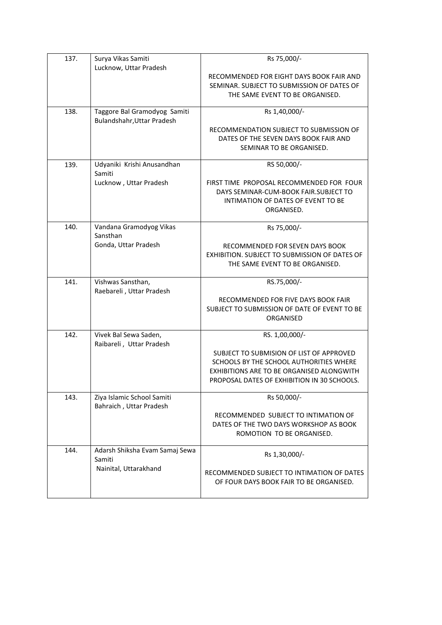| 137. | Surya Vikas Samiti<br>Lucknow, Uttar Pradesh               | Rs 75,000/-                                                                              |
|------|------------------------------------------------------------|------------------------------------------------------------------------------------------|
|      |                                                            | RECOMMENDED FOR EIGHT DAYS BOOK FAIR AND                                                 |
|      |                                                            | SEMINAR. SUBJECT TO SUBMISSION OF DATES OF                                               |
|      |                                                            | THE SAME EVENT TO BE ORGANISED.                                                          |
| 138. | Taggore Bal Gramodyog Samiti<br>Bulandshahr, Uttar Pradesh | Rs 1,40,000/-                                                                            |
|      |                                                            | RECOMMENDATION SUBJECT TO SUBMISSION OF                                                  |
|      |                                                            | DATES OF THE SEVEN DAYS BOOK FAIR AND<br>SEMINAR TO BE ORGANISED.                        |
|      |                                                            |                                                                                          |
| 139. | Udyaniki Krishi Anusandhan<br>Samiti                       | RS 50,000/-                                                                              |
|      | Lucknow, Uttar Pradesh                                     | FIRST TIME PROPOSAL RECOMMENDED FOR FOUR                                                 |
|      |                                                            | DAYS SEMINAR-CUM-BOOK FAIR.SUBJECT TO<br>INTIMATION OF DATES OF EVENT TO BE              |
|      |                                                            | ORGANISED.                                                                               |
| 140. | Vandana Gramodyog Vikas                                    | Rs 75,000/-                                                                              |
|      | Sansthan                                                   |                                                                                          |
|      | Gonda, Uttar Pradesh                                       | RECOMMENDED FOR SEVEN DAYS BOOK                                                          |
|      |                                                            | EXHIBITION. SUBJECT TO SUBMISSION OF DATES OF<br>THE SAME EVENT TO BE ORGANISED.         |
|      |                                                            |                                                                                          |
| 141. | Vishwas Sansthan,<br>Raebareli, Uttar Pradesh              | RS.75,000/-                                                                              |
|      |                                                            | RECOMMENDED FOR FIVE DAYS BOOK FAIR                                                      |
|      |                                                            | SUBJECT TO SUBMISSION OF DATE OF EVENT TO BE                                             |
|      |                                                            | ORGANISED                                                                                |
| 142. | Vivek Bal Sewa Saden,<br>Raibareli, Uttar Pradesh          | RS. 1,00,000/-                                                                           |
|      |                                                            | SUBJECT TO SUBMISION OF LIST OF APPROVED                                                 |
|      |                                                            | SCHOOLS BY THE SCHOOL AUTHORITIES WHERE                                                  |
|      |                                                            | EXHIBITIONS ARE TO BE ORGANISED ALONGWITH<br>PROPOSAL DATES OF EXHIBITION IN 30 SCHOOLS. |
|      |                                                            |                                                                                          |
| 143. | Ziya Islamic School Samiti<br>Bahraich, Uttar Pradesh      | Rs 50,000/-                                                                              |
|      |                                                            | RECOMMENDED SUBJECT TO INTIMATION OF                                                     |
|      |                                                            | DATES OF THE TWO DAYS WORKSHOP AS BOOK                                                   |
|      |                                                            | ROMOTION TO BE ORGANISED.                                                                |
| 144. | Adarsh Shiksha Evam Samaj Sewa<br>Samiti                   | Rs 1,30,000/-                                                                            |
|      | Nainital, Uttarakhand                                      | RECOMMENDED SUBJECT TO INTIMATION OF DATES                                               |
|      |                                                            | OF FOUR DAYS BOOK FAIR TO BE ORGANISED.                                                  |
|      |                                                            |                                                                                          |